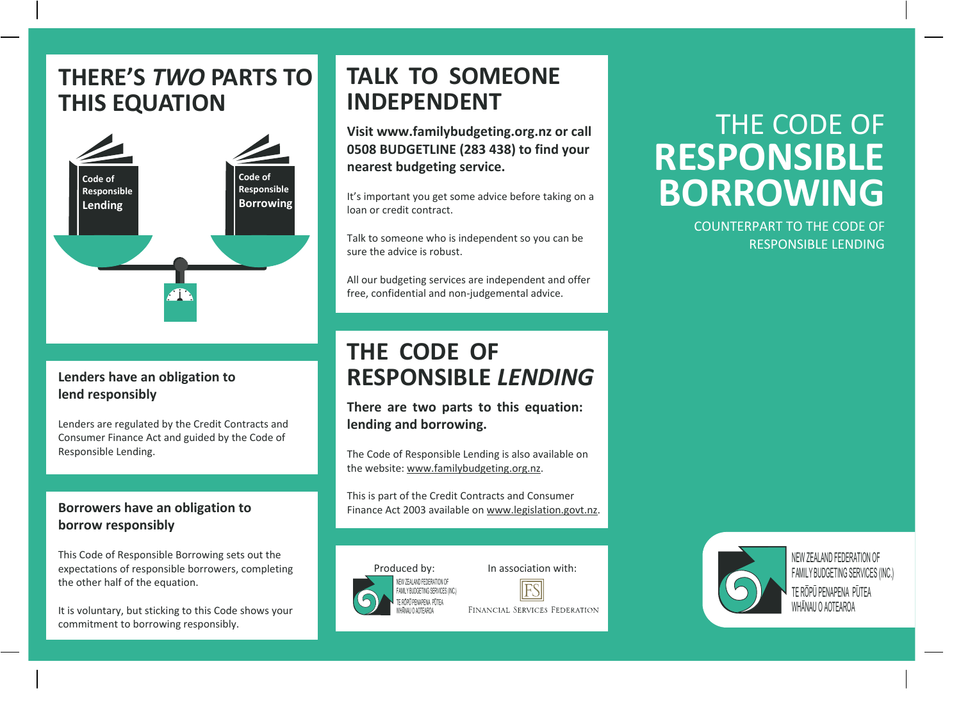# **THERE'S** *TWO* **PARTS TO THIS EQUATION**



#### **Lenders have an obligation to lend responsibly**

Lenders are regulated by the Credit Contracts and Consumer Finance Act and guided by the Code of Responsible Lending.

### **Borrowers have an obligation to borrow responsibly**

This Code of Responsible Borrowing sets out the expectations of responsible borrowers, completing the other half of the equation.

It is voluntary, but sticking to this Code shows your commitment to borrowing responsibly.

# **TALK TO SOMEONE INDEPENDENT**

**Visit www.familybudgeting.org.nz or call 0508 BUDGETLINE (283 438) to find your nearest budgeting service.**

It's important you get some advice before taking on a loan or credit contract.

Talk to someone who is independent so you can be sure the advice is robust.

All our budgeting services are independent and offer free, confidential and non-judgemental advice.

# **THE CODE OF RESPONSIBLE** *LENDING*

**There are two parts to this equation: lending and borrowing.**

The Code of Responsible Lending is also available on the website: www.familybudgeting.org.nz.

This is part of the Credit Contracts and Consumer Finance Act 2003 available on www.legislation.govt.nz.





FINANCIAL SERVICES FEDERATION

# THE CODE OF **RESPONSIBLE BORROWING**

COUNTERPART TO THE CODE OF RESPONSIBLE LENDING



NEW ZEALAND FEDERATION OF FAMILY BUDGETING SERVICES (INC.) TE ROPU PENAPENA PUTEA WHANAU O AOTEAROA